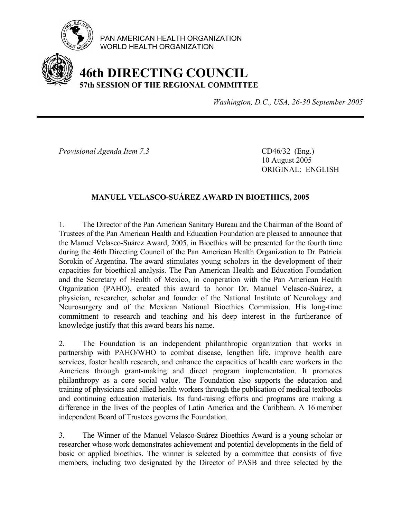

PAN AMERICAN HEALTH ORGANIZATION WORLD HEALTH ORGANIZATION

## **46th DIRECTING COUNCIL 57th SESSION OF THE REGIONAL COMMITTEE**

*Washington, D.C., USA, 26-30 September 2005*

*Provisional Agenda Item 7.3* CD46/32 (Eng.)

 10 August 2005 ORIGINAL: ENGLISH

## **MANUEL VELASCO-SUÁREZ AWARD IN BIOETHICS, 2005**

1. The Director of the Pan American Sanitary Bureau and the Chairman of the Board of Trustees of the Pan American Health and Education Foundation are pleased to announce that the Manuel Velasco-Suárez Award, 2005, in Bioethics will be presented for the fourth time during the 46th Directing Council of the Pan American Health Organization to Dr. Patricia Sorokin of Argentina. The award stimulates young scholars in the development of their capacities for bioethical analysis. The Pan American Health and Education Foundation and the Secretary of Health of Mexico, in cooperation with the Pan American Health Organization (PAHO), created this award to honor Dr. Manuel Velasco-Suárez, a physician, researcher, scholar and founder of the National Institute of Neurology and Neurosurgery and of the Mexican National Bioethics Commission. His long-time commitment to research and teaching and his deep interest in the furtherance of knowledge justify that this award bears his name.

2. The Foundation is an independent philanthropic organization that works in partnership with PAHO/WHO to combat disease, lengthen life, improve health care services, foster health research, and enhance the capacities of health care workers in the Americas through grant-making and direct program implementation. It promotes philanthropy as a core social value. The Foundation also supports the education and training of physicians and allied health workers through the publication of medical textbooks and continuing education materials. Its fund-raising efforts and programs are making a difference in the lives of the peoples of Latin America and the Caribbean. A 16 member independent Board of Trustees governs the Foundation.

3. The Winner of the Manuel Velasco-Suárez Bioethics Award is a young scholar or researcher whose work demonstrates achievement and potential developments in the field of basic or applied bioethics. The winner is selected by a committee that consists of five members, including two designated by the Director of PASB and three selected by the